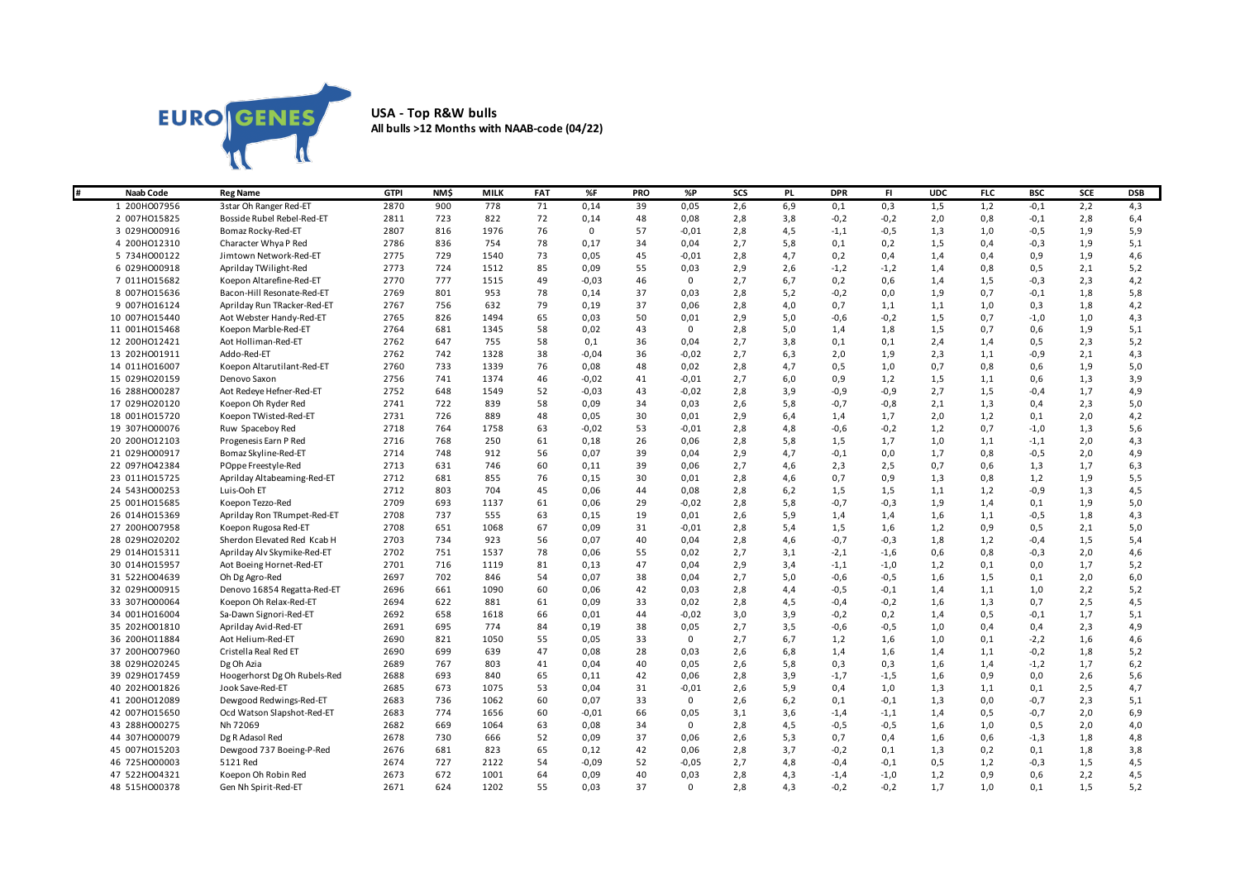

## **USA - Top R&W bulls All bulls >12 Months with NAAB-code (04/22)**

| l#<br><b>Naab Code</b> | <b>Reg Name</b>              | <b>GTPI</b> | <b>NMS</b> | <b>MILK</b> | <b>FAT</b> | %F          | <b>PRO</b> | %P          | SCS | PL. | <b>DPR</b> | FL.    | <b>UDC</b> | <b>FLC</b> | <b>BSC</b> | <b>SCE</b> | <b>DSB</b> |
|------------------------|------------------------------|-------------|------------|-------------|------------|-------------|------------|-------------|-----|-----|------------|--------|------------|------------|------------|------------|------------|
| 1 200HO07956           | 3star Oh Ranger Red-ET       | 2870        | 900        | 778         | 71         | 0,14        | 39         | 0,05        | 2,6 | 6,9 | 0,1        | 0,3    | 1,5        | 1,2        | $-0,1$     | 2,2        | 4,3        |
| 2 007HO15825           | Bosside Rubel Rebel-Red-ET   | 2811        | 723        | 822         | 72         | 0,14        | 48         | 0,08        | 2,8 | 3,8 | $-0,2$     | $-0,2$ | 2,0        | 0,8        | $-0,1$     | 2,8        | 6,4        |
| 3 029HO00916           | Bomaz Rocky-Red-ET           | 2807        | 816        | 1976        | 76         | $\mathbf 0$ | 57         | $-0,01$     | 2,8 | 4,5 | $-1,1$     | $-0,5$ | 1,3        | 1,0        | $-0,5$     | 1,9        | 5,9        |
| 4 200HO12310           | Character Whya P Red         | 2786        | 836        | 754         | 78         | 0,17        | 34         | 0,04        | 2,7 | 5,8 | 0,1        | 0,2    | 1,5        | 0,4        | $-0,3$     | 1,9        | 5,1        |
| 5 734HO00122           | Jimtown Network-Red-ET       | 2775        | 729        | 1540        | 73         | 0,05        | 45         | $-0,01$     | 2,8 | 4,7 | 0,2        | 0,4    | 1,4        | 0,4        | 0,9        | 1,9        | 4,6        |
| 6 029HO00918           | Aprilday TWilight-Red        | 2773        | 724        | 1512        | 85         | 0,09        | 55         | 0,03        | 2,9 | 2,6 | $-1,2$     | $-1,2$ | 1,4        | 0,8        | 0,5        | 2,1        | 5,2        |
| 7 011H015682           | Koepon Altarefine-Red-ET     | 2770        | 777        | 1515        | 49         | $-0,03$     | 46         | $\mathsf 0$ | 2,7 | 6,7 | 0,2        | 0,6    | 1,4        | 1,5        | $-0,3$     | 2,3        | 4,2        |
| 8 007HO15636           | Bacon-Hill Resonate-Red-ET   | 2769        | 801        | 953         | 78         | 0,14        | 37         | 0,03        | 2,8 | 5,2 | $-0,2$     | 0,0    | 1,9        | 0,7        | $-0,1$     | 1,8        | 5,8        |
| 9 007HO16124           | Aprilday Run TRacker-Red-ET  | 2767        | 756        | 632         | 79         | 0,19        | 37         | 0,06        | 2,8 | 4,0 | 0,7        | 1,1    | 1,1        | 1,0        | 0,3        | 1,8        | 4,2        |
| 10 007HO15440          | Aot Webster Handy-Red-ET     | 2765        | 826        | 1494        | 65         | 0,03        | 50         | 0,01        | 2,9 | 5,0 | $-0,6$     | $-0,2$ | 1,5        | 0,7        | $-1,0$     | 1,0        | 4,3        |
| 11 001H015468          | Koepon Marble-Red-ET         | 2764        | 681        | 1345        | 58         | 0,02        | 43         | $\mathbf 0$ | 2,8 | 5,0 | 1,4        | 1,8    | 1,5        | 0,7        | 0,6        | 1,9        | 5,1        |
| 12 200HO12421          | Aot Holliman-Red-ET          | 2762        | 647        | 755         | 58         | 0,1         | 36         | 0,04        | 2,7 | 3,8 | 0,1        | 0,1    | 2,4        | 1,4        | 0,5        | 2,3        | 5,2        |
| 13 202HO01911          | Addo-Red-ET                  | 2762        | 742        | 1328        | 38         | $-0,04$     | 36         | $-0,02$     | 2,7 | 6,3 | 2,0        | 1,9    | 2,3        | 1,1        | $-0,9$     | 2,1        | 4,3        |
| 14 011H016007          | Koepon Altarutilant-Red-ET   | 2760        | 733        | 1339        | 76         | 0,08        | 48         | 0,02        | 2,8 | 4,7 | 0, 5       | 1,0    | 0,7        | 0,8        | 0,6        | 1,9        | 5,0        |
| 15 029HO20159          | Denovo Saxon                 | 2756        | 741        | 1374        | 46         | $-0,02$     | 41         | $-0,01$     | 2,7 | 6,0 | 0,9        | 1,2    | 1,5        | 1,1        | 0,6        | 1,3        | 3,9        |
| 16 288HO00287          | Aot Redeye Hefner-Red-ET     | 2752        | 648        | 1549        | 52         | $-0,03$     | 43         | $-0,02$     | 2,8 | 3,9 | $-0,9$     | $-0,9$ | 2,7        | 1,5        | $-0,4$     | 1,7        | 4,9        |
| 17 029HO20120          | Koepon Oh Ryder Red          | 2741        | 722        | 839         | 58         | 0,09        | 34         | 0,03        | 2,6 | 5,8 | $-0,7$     | $-0,8$ | 2,1        | 1,3        | 0,4        | 2,3        | 5,0        |
| 18 001H015720          | Koepon TWisted-Red-ET        | 2731        | 726        | 889         | 48         | 0,05        | 30         | 0,01        | 2,9 | 6,4 | 1,4        | 1,7    | 2,0        | 1,2        | 0,1        | 2,0        | 4,2        |
| 19 307HO00076          | Ruw Spaceboy Red             | 2718        | 764        | 1758        | 63         | $-0,02$     | 53         | $-0,01$     | 2,8 | 4,8 | $-0,6$     | $-0,2$ | 1,2        | 0,7        | $-1,0$     | 1,3        | 5,6        |
| 20 200HO12103          | Progenesis Earn P Red        | 2716        | 768        | 250         | 61         | 0,18        | 26         | 0,06        | 2,8 | 5,8 | 1,5        | 1,7    | 1,0        | 1,1        | $-1,1$     | 2,0        | 4,3        |
| 21 029HO00917          | Bomaz Skyline-Red-ET         | 2714        | 748        | 912         | 56         | 0,07        | 39         | 0,04        | 2,9 | 4,7 | $-0,1$     | 0,0    | 1,7        | 0,8        | $-0,5$     | 2,0        | 4,9        |
| 22 097H042384          | POppe Freestyle-Red          | 2713        | 631        | 746         | 60         | 0,11        | 39         | 0,06        | 2,7 | 4,6 | 2,3        | 2,5    | 0,7        | 0,6        | 1,3        | 1,7        | 6,3        |
| 23 011H015725          | Aprilday Altabeaming-Red-ET  | 2712        | 681        | 855         | 76         | 0,15        | 30         | 0,01        | 2,8 | 4,6 | 0,7        | 0,9    | 1,3        | 0,8        | 1,2        | 1,9        | 5,5        |
| 24 543HO00253          | Luis-Ooh ET                  | 2712        | 803        | 704         | 45         | 0,06        | 44         | 0,08        | 2,8 | 6,2 | 1,5        | 1,5    | 1,1        | 1,2        | $-0,9$     | 1,3        | 4,5        |
| 25 001HO15685          | Koepon Tezzo-Red             | 2709        | 693        | 1137        | 61         | 0,06        | 29         | $-0,02$     | 2,8 | 5,8 | $-0,7$     | $-0,3$ | 1,9        | 1,4        | 0,1        | 1,9        | 5,0        |
| 26 014H015369          | Aprilday Ron TRumpet-Red-ET  | 2708        | 737        | 555         | 63         | 0,15        | 19         | 0,01        | 2,6 | 5,9 | 1,4        | 1,4    | 1,6        | 1,1        | $-0,5$     | 1,8        | 4,3        |
| 27 200HO07958          | Koepon Rugosa Red-ET         | 2708        | 651        | 1068        | 67         | 0,09        | 31         | $-0,01$     | 2,8 | 5,4 | 1,5        | 1,6    | 1,2        | 0,9        | 0,5        | 2,1        | 5,0        |
| 28 029HO20202          | Sherdon Elevated Red Kcab H  | 2703        | 734        | 923         | 56         | 0,07        | 40         | 0,04        | 2,8 | 4,6 | $-0,7$     | $-0,3$ | 1,8        | 1,2        | $-0,4$     | 1,5        | 5,4        |
| 29 014H015311          | Aprilday Alv Skymike-Red-ET  | 2702        | 751        | 1537        | 78         | 0,06        | 55         | 0,02        | 2,7 | 3,1 | $-2,1$     | $-1,6$ | 0,6        | 0,8        | $-0,3$     | 2,0        | 4,6        |
| 30 014HO15957          | Aot Boeing Hornet-Red-ET     | 2701        | 716        | 1119        | 81         | 0,13        | 47         | 0,04        | 2,9 | 3,4 | $-1,1$     | $-1,0$ | 1,2        | 0,1        | 0,0        | 1,7        | 5,2        |
| 31 522HO04639          | Oh Dg Agro-Red               | 2697        | 702        | 846         | 54         | 0,07        | 38         | 0,04        | 2,7 | 5,0 | $-0,6$     | $-0,5$ | 1,6        | 1,5        | 0,1        | 2,0        | 6,0        |
| 32 029HO00915          | Denovo 16854 Regatta-Red-ET  | 2696        | 661        | 1090        | 60         | 0,06        | 42         | 0,03        | 2,8 | 4,4 | $-0,5$     | $-0,1$ | 1,4        | 1,1        | 1,0        | 2,2        | 5,2        |
| 33 307HO00064          | Koepon Oh Relax-Red-ET       | 2694        | 622        | 881         | 61         | 0,09        | 33         | 0,02        | 2,8 | 4,5 | $-0,4$     | $-0,2$ | 1,6        | 1,3        | 0,7        | 2,5        | 4,5        |
| 34 001HO16004          | Sa-Dawn Signori-Red-ET       | 2692        | 658        | 1618        | 66         | 0,01        | 44         | $-0,02$     | 3,0 | 3,9 | $-0,2$     | 0,2    | 1,4        | 0,5        | $-0,1$     | 1,7        | 5,1        |
| 35 202HO01810          | Aprilday Avid-Red-ET         | 2691        | 695        | 774         | 84         | 0,19        | 38         | 0,05        | 2,7 | 3,5 | $-0,6$     | $-0,5$ | 1,0        | 0,4        | 0,4        | 2,3        | 4,9        |
| 36 200HO11884          | Aot Helium-Red-ET            | 2690        | 821        | 1050        | 55         | 0,05        | 33         | $\mathsf 0$ | 2,7 | 6,7 | 1,2        | 1,6    | 1,0        | 0,1        | $-2,2$     | 1,6        | 4,6        |
| 37 200HO07960          | Cristella Real Red ET        | 2690        | 699        | 639         | 47         | 0,08        | 28         | 0,03        | 2,6 | 6,8 | 1,4        | 1,6    | 1,4        | 1,1        | $-0,2$     | 1,8        | 5,2        |
| 38 029HO20245          | Dg Oh Azia                   | 2689        | 767        | 803         | 41         | 0,04        | 40         | 0,05        | 2,6 | 5,8 | 0,3        | 0,3    | 1,6        | 1,4        | $-1,2$     | 1,7        | 6,2        |
| 39 029HO17459          | Hoogerhorst Dg Oh Rubels-Red | 2688        | 693        | 840         | 65         | 0,11        | 42         | 0,06        | 2,8 | 3,9 | $-1,7$     | $-1,5$ | 1,6        | 0,9        | 0,0        | 2,6        | 5,6        |
| 40 202HO01826          | Jook Save-Red-ET             | 2685        | 673        | 1075        | 53         | 0,04        | 31         | $-0,01$     | 2,6 | 5,9 | 0,4        | 1,0    | 1,3        | 1,1        | 0,1        | 2,5        | 4,7        |
| 41 200HO12089          | Dewgood Redwings-Red-ET      | 2683        | 736        | 1062        | 60         | 0,07        | 33         | $\mathbf 0$ | 2,6 | 6,2 | 0,1        | $-0,1$ | 1,3        | 0,0        | $-0,7$     | 2,3        | 5,1        |
| 42 007HO15650          | Ocd Watson Slapshot-Red-ET   | 2683        | 774        | 1656        | 60         | $-0,01$     | 66         | 0,05        | 3,1 | 3,6 | $-1,4$     | $-1,1$ | 1,4        | 0,5        | $-0,7$     | 2,0        | 6,9        |
| 43 288HO00275          | Nh 72069                     | 2682        | 669        | 1064        | 63         | 0,08        | 34         | $\mathbf 0$ | 2,8 | 4,5 | $-0,5$     | $-0,5$ | 1,6        | 1,0        | 0,5        | 2,0        | 4,0        |
| 44 307HO00079          | Dg R Adasol Red              | 2678        | 730        | 666         | 52         | 0,09        | 37         | 0,06        | 2,6 | 5,3 | 0,7        | 0,4    | 1,6        | 0,6        | $-1,3$     | 1,8        | 4,8        |
| 45 007HO15203          | Dewgood 737 Boeing-P-Red     | 2676        | 681        | 823         | 65         | 0,12        | 42         | 0,06        | 2,8 | 3,7 | $-0,2$     | 0,1    | 1,3        | 0,2        | 0,1        | 1,8        | 3,8        |
| 46 725HO00003          | 5121 Red                     | 2674        | 727        | 2122        | 54         | $-0,09$     | 52         | $-0,05$     | 2,7 | 4,8 | $-0,4$     | $-0,1$ | 0,5        | 1,2        | $-0,3$     | 1,5        | 4,5        |
| 47 522HO04321          | Koepon Oh Robin Red          | 2673        | 672        | 1001        | 64         | 0,09        | 40         | 0,03        | 2,8 | 4,3 | $-1,4$     | $-1,0$ | 1,2        | 0,9        | 0,6        | 2,2        | 4,5        |
| 48 515HO00378          | Gen Nh Spirit-Red-ET         | 2671        | 624        | 1202        | 55         | 0,03        | 37         | $\mathbf 0$ | 2,8 | 4.3 | $-0,2$     | $-0.2$ | 1,7        | 1,0        | 0.1        | 1,5        | 5,2        |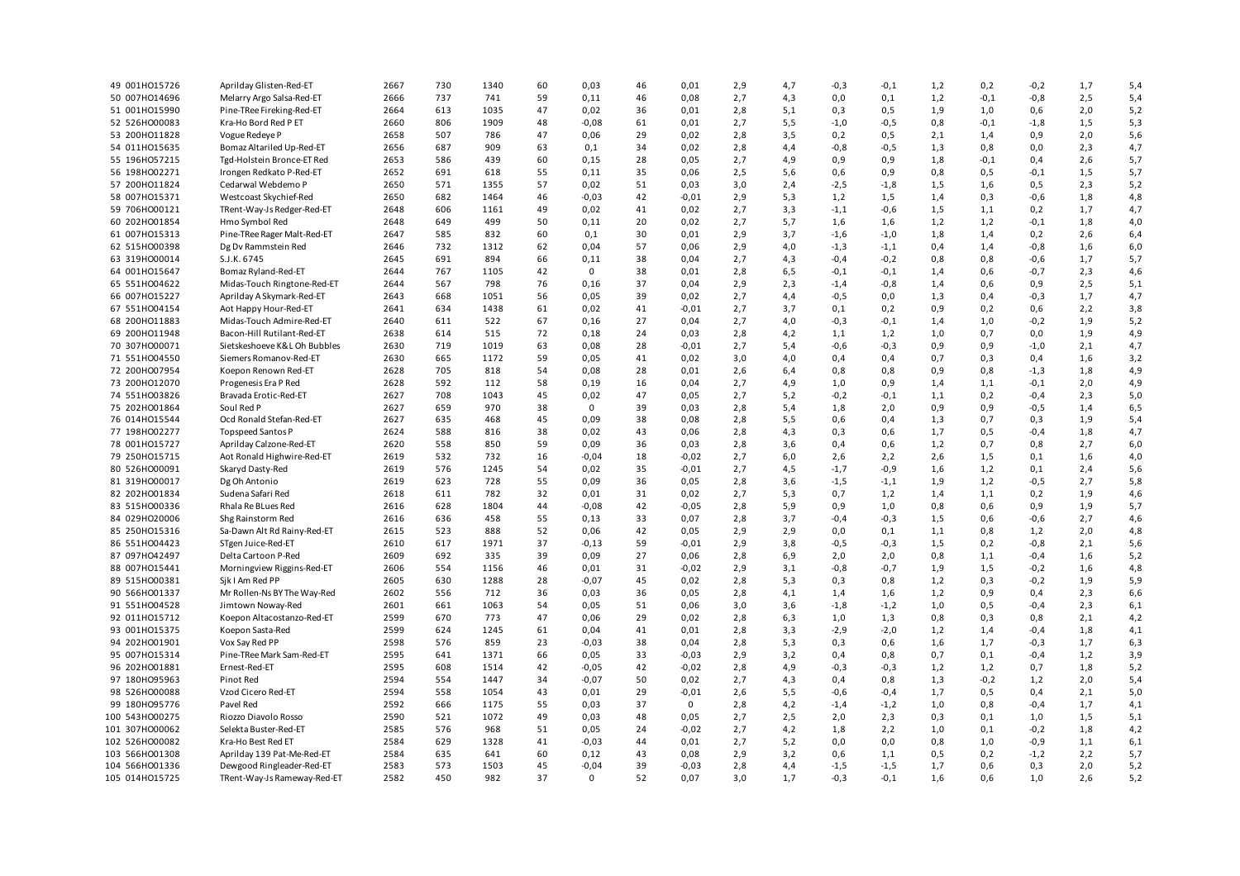| 49 001HO15726  | Aprilday Glisten-Red-ET      | 2667         | 730 | 1340        | 60 | 0,03            | 46 | 0,01        | 2,9 | 4,7 | $-0,3$ | $-0,1$ | 1,2 | 0,2    | $-0,2$ | 1,7 | 5,4 |
|----------------|------------------------------|--------------|-----|-------------|----|-----------------|----|-------------|-----|-----|--------|--------|-----|--------|--------|-----|-----|
| 50 007HO14696  | Melarry Argo Salsa-Red-ET    | 2666         | 737 | 741         | 59 | 0,11            | 46 | 0,08        | 2,7 | 4,3 | 0,0    | 0,1    | 1,2 | $-0,1$ | $-0,8$ | 2,5 | 5,4 |
| 51 001H015990  | Pine-TRee Fireking-Red-ET    | 2664         | 613 | 1035        | 47 | 0,02            | 36 | 0,01        | 2,8 | 5,1 | 0,3    | 0,5    | 1,9 | 1,0    | 0,6    | 2,0 | 5,2 |
| 52 526HO00083  | Kra-Ho Bord Red P ET         | 2660         | 806 | 1909        | 48 | 0,08            | 61 | 0,01        | 2,7 | 5,5 | $-1,0$ | $-0,5$ | 0,8 | $-0,1$ | $-1,8$ | 1,5 | 5,3 |
| 53 200HO11828  | Vogue Redeye P               | 2658         | 507 | 786         | 47 | 0,06            | 29 | 0,02        | 2,8 | 3,5 | 0,2    | 0,5    | 2,1 | 1,4    | 0,9    | 2,0 | 5,6 |
| 54 011H015635  | Bomaz Altariled Up-Red-ET    | 2656         | 687 | 909         | 63 | 0,1             | 34 | 0,02        | 2,8 | 4,4 | $-0,8$ | $-0,5$ | 1,3 | 0,8    | 0,0    | 2,3 | 4,7 |
| 55 196HO57215  | Tgd-Holstein Bronce-ET Red   | 2653         | 586 | 439         | 60 | 0,15            | 28 | 0,05        | 2,7 | 4,9 | 0,9    | 0,9    | 1,8 | $-0,1$ | 0,4    | 2,6 | 5,7 |
| 56 198HO02271  | Irongen Redkato P-Red-ET     | 2652         | 691 | 618         | 55 | 0,11            | 35 | 0,06        | 2,5 | 5,6 | 0,6    | 0,9    | 0,8 | 0,5    | $-0,1$ | 1,5 | 5,7 |
| 57 200HO11824  | Cedarwal Webdemo P           | 2650         | 571 | 1355        | 57 | 0,02            | 51 | 0,03        | 3,0 | 2,4 | $-2,5$ | $-1,8$ | 1,5 | 1,6    | 0,5    | 2,3 | 5,2 |
| 58 007HO15371  | Westcoast Skychief-Red       | 2650         | 682 | 1464        | 46 | $-0,03$         | 42 | $-0,01$     | 2,9 | 5,3 | 1,2    | 1,5    | 1,4 | 0,3    | $-0,6$ | 1,8 | 4,8 |
| 59 706HO00121  | TRent-Way-Js Redger-Red-ET   | 2648         | 606 | 1161        | 49 | 0,02            | 41 | 0,02        | 2,7 | 3,3 | $-1,1$ | $-0,6$ | 1,5 | 1,1    | 0,2    | 1,7 | 4,7 |
| 60 202HO01854  | Hmo Symbol Red               | 2648         | 649 | 499         | 50 | 0,11            | 20 | 0,02        | 2,7 | 5,7 | 1,6    | 1,6    | 1,2 | 1,2    | $-0,1$ | 1,8 | 4,0 |
| 61 007HO15313  | Pine-TRee Rager Malt-Red-ET  | 2647         | 585 | 832         | 60 | 0,1             | 30 | 0,01        | 2,9 | 3,7 | $-1,6$ | $-1,0$ | 1,8 | 1,4    | 0,2    | 2,6 | 6,4 |
| 62 515HO00398  |                              | 2646         | 732 | 1312        | 62 | 0,04            | 57 | 0,06        |     | 4,0 |        |        |     | 1,4    | $-0,8$ |     |     |
|                | Dg Dv Rammstein Red          |              |     |             |    |                 |    |             | 2,9 |     | $-1,3$ | $-1,1$ | 0,4 |        |        | 1,6 | 6,0 |
| 63 319HO00014  | S.J.K. 6745                  | 2645         | 691 | 894         | 66 | 0,11            | 38 | 0,04        | 2,7 | 4,3 | $-0,4$ | $-0,2$ | 0,8 | 0,8    | $-0,6$ | 1,7 | 5,7 |
| 64 001HO15647  | Bomaz Ryland-Red-ET          | 2644         | 767 | 1105        | 42 | $\mathbf 0$     | 38 | 0,01        | 2,8 | 6,5 | $-0,1$ | $-0,1$ | 1,4 | 0,6    | $-0,7$ | 2,3 | 4,6 |
| 65 551HO04622  | Midas-Touch Ringtone-Red-ET  | 2644         | 567 | 798         | 76 | 0,16            | 37 | 0,04        | 2,9 | 2,3 | $-1,4$ | $-0,8$ | 1,4 | 0,6    | 0,9    | 2,5 | 5,1 |
| 66 007HO15227  | Aprilday A Skymark-Red-ET    | 2643         | 668 | 1051        | 56 | 0,05            | 39 | 0,02        | 2,7 | 4,4 | $-0,5$ | 0,0    | 1,3 | 0,4    | $-0,3$ | 1,7 | 4,7 |
| 67 551HO04154  | Aot Happy Hour-Red-ET        | 2641         | 634 | 1438        | 61 | 0,02            | 41 | $-0,01$     | 2,7 | 3,7 | 0,1    | 0,2    | 0,9 | 0,2    | 0,6    | 2,2 | 3,8 |
| 68 200HO11883  | Midas-Touch Admire-Red-ET    | 2640         | 611 | 522         | 67 | 0,16            | 27 | 0,04        | 2,7 | 4,0 | $-0,3$ | $-0,1$ | 1,4 | 1,0    | $-0,2$ | 1,9 | 5,2 |
| 69 200HO11948  | Bacon-Hill Rutilant-Red-ET   | 2638         | 614 | 515         | 72 | 0,18            | 24 | 0,03        | 2,8 | 4,2 | 1,1    | 1,2    | 1,0 | 0,7    | 0,0    | 1,9 | 4,9 |
| 70 307HO00071  | Sietskeshoeve K&L Oh Bubbles | 2630         | 719 | 1019        | 63 | 0,08            | 28 | $-0,01$     | 2,7 | 5,4 | $-0,6$ | $-0,3$ | 0,9 | 0,9    | $-1,0$ | 2,1 | 4,7 |
| 71 551H004550  | Siemers Romanov-Red-ET       | 2630         | 665 | 1172        | 59 | 0,05            | 41 | 0,02        | 3,0 | 4,0 | 0,4    | 0,4    | 0,7 | 0,3    | 0,4    | 1,6 | 3,2 |
| 72 200HO07954  | Koepon Renown Red-ET         | 2628         | 705 | 818         | 54 | 0,08            | 28 | 0,01        | 2,6 | 6,4 | 0,8    | 0,8    | 0,9 | 0,8    | $-1,3$ | 1,8 | 4,9 |
| 73 200HO12070  | Progenesis Era P Red         | 2628         | 592 | 112         | 58 | 0,19            | 16 | 0,04        | 2,7 | 4,9 | 1,0    | 0,9    | 1,4 | 1,1    | $-0,1$ | 2,0 | 4,9 |
| 74 551H003826  | Bravada Erotic-Red-ET        | 2627         | 708 | 1043        | 45 | 0,02            | 47 | 0,05        | 2,7 | 5,2 | $-0,2$ | $-0,1$ | 1,1 | 0,2    | $-0,4$ | 2,3 | 5,0 |
| 75 202HO01864  | Soul Red P                   | 2627         | 659 | 970         | 38 | $^{\circ}$      | 39 | 0,03        | 2,8 | 5,4 | 1,8    | 2,0    | 0,9 | 0,9    | $-0,5$ | 1,4 | 6,5 |
| 76 014H015544  | Ocd Ronald Stefan-Red-ET     | 2627         | 635 | 468         | 45 | 0,09            | 38 | 0,08        | 2,8 | 5,5 | 0,6    | 0,4    | 1,3 | 0,7    | 0,3    | 1,9 | 5,4 |
| 77 198HO02277  | Topspeed Santos P            | 2624         | 588 | 816         | 38 | 0,02            | 43 | 0,06        | 2,8 | 4,3 | 0,3    | 0,6    | 1,7 | 0,5    | $-0,4$ | 1,8 | 4,7 |
| 78 001H015727  | Aprilday Calzone-Red-ET      | 2620         | 558 | 850         | 59 | 0,09            | 36 | 0,03        | 2,8 | 3,6 | 0,4    | 0,6    | 1,2 | 0,7    | 0,8    | 2,7 | 6,0 |
| 79 250HO15715  | Aot Ronald Highwire-Red-ET   | 2619         | 532 | 732         | 16 | $-0,04$         | 18 | $-0,02$     | 2,7 | 6,0 | 2,6    | 2,2    | 2,6 | 1,5    | 0,1    | 1,6 | 4,0 |
| 80 526HO00091  | Skaryd Dasty-Red             | 2619         | 576 | 1245        | 54 | 0,02            | 35 | $-0,01$     | 2,7 | 4,5 | $-1,7$ | $-0,9$ | 1,6 | 1,2    | 0,1    | 2,4 | 5,6 |
| 81 319HO00017  | Dg Oh Antonio                | 2619         | 623 | 728         | 55 | 0,09            | 36 | 0,05        | 2,8 | 3,6 | $-1,5$ | $-1,1$ | 1,9 | 1,2    | $-0,5$ | 2,7 | 5,8 |
| 82 202HO01834  | Sudena Safari Red            | 2618         | 611 | 782         | 32 | 0,01            | 31 | 0,02        | 2,7 | 5,3 | 0,7    | 1,2    | 1,4 | 1,1    | 0,2    | 1,9 | 4,6 |
| 83 515HO00336  | Rhala Re BLues Red           | 2616         | 628 | 1804        | 44 | 0,08            | 42 | $-0,05$     | 2,8 | 5,9 | 0,9    | 1,0    | 0,8 | 0,6    | 0,9    | 1,9 | 5,7 |
| 84 029HO20006  | Shg Rainstorm Red            | 2616         | 636 | 458         | 55 | 0,13            | 33 | 0,07        | 2,8 | 3,7 | $-0,4$ | $-0,3$ | 1,5 | 0,6    | $-0,6$ | 2,7 | 4,6 |
| 85 250HO15316  | Sa-Dawn Alt Rd Rainy-Red-ET  | 2615         | 523 | 888         | 52 | 0,06            | 42 | 0,05        | 2,9 | 2,9 | 0,0    | 0,1    | 1,1 | 0,8    | 1,2    | 2,0 | 4,8 |
|                |                              |              | 617 |             | 37 |                 | 59 |             |     |     |        |        |     |        |        |     |     |
| 86 551HO04423  | STgen Juice-Red-ET           | 2610<br>2609 | 692 | 1971<br>335 | 39 | $-0,13$<br>0.09 |    | $-0,01$     | 2,9 | 3,8 | -0,5   | $-0,3$ | 1,5 | 0,2    | $-0,8$ | 2,1 | 5,6 |
| 87 097HO42497  | Delta Cartoon P-Red          |              |     |             |    |                 | 27 | 0,06        | 2,8 | 6,9 | 2,0    | 2,0    | 0,8 | 1,1    | $-0,4$ | 1,6 | 5,2 |
| 88 007HO15441  | Morningview Riggins-Red-ET   | 2606         | 554 | 1156        | 46 | 0,01            | 31 | $-0,02$     | 2,9 | 3,1 | $-0,8$ | $-0,7$ | 1,9 | 1,5    | $-0,2$ | 1,6 | 4,8 |
| 89 515HO00381  | Sik I Am Red PP              | 2605         | 630 | 1288        | 28 | $-0,07$         | 45 | 0,02        | 2,8 | 5,3 | 0,3    | 0,8    | 1,2 | 0,3    | $-0,2$ | 1,9 | 5,9 |
| 90 566HO01337  | Mr Rollen-Ns BY The Way-Red  | 2602         | 556 | 712         | 36 | 0,03            | 36 | 0,05        | 2,8 | 4,1 | 1,4    | 1,6    | 1,2 | 0,9    | 0,4    | 2,3 | 6,6 |
| 91 551HO04528  | Jimtown Noway-Red            | 2601         | 661 | 1063        | 54 | 0,05            | 51 | 0,06        | 3,0 | 3,6 | $-1,8$ | $-1,2$ | 1,0 | 0,5    | $-0,4$ | 2,3 | 6,1 |
| 92 011HO15712  | Koepon Altacostanzo-Red-ET   | 2599         | 670 | 773         | 47 | 0,06            | 29 | 0,02        | 2,8 | 6,3 | 1,0    | 1,3    | 0,8 | 0,3    | 0,8    | 2,1 | 4,2 |
| 93 001HO15375  | Koepon Sasta-Red             | 2599         | 624 | 1245        | 61 | 0,04            | 41 | 0,01        | 2,8 | 3,3 | $-2,9$ | $-2,0$ | 1,2 | 1,4    | $-0,4$ | 1,8 | 4,1 |
| 94 202HO01901  | Vox Say Red PP               | 2598         | 576 | 859         | 23 | $-0,03$         | 38 | 0,04        | 2,8 | 5,3 | 0,3    | 0,6    | 1,6 | 1,7    | $-0,3$ | 1,7 | 6,3 |
| 95 007HO15314  | Pine-TRee Mark Sam-Red-ET    | 2595         | 641 | 1371        | 66 | 0,05            | 33 | $-0,03$     | 2,9 | 3,2 | 0,4    | 0,8    | 0,7 | 0,1    | $-0,4$ | 1,2 | 3,9 |
| 96 202HO01881  | Ernest-Red-ET                | 2595         | 608 | 1514        | 42 | -0,05           | 42 | $-0,02$     | 2,8 | 4,9 | -0,3   | $-0,3$ | 1,2 | 1,2    | 0,7    | 1,8 | 5,2 |
| 97 180HO95963  | Pinot Red                    | 2594         | 554 | 1447        | 34 | $-0,07$         | 50 | 0,02        | 2,7 | 4,3 | 0,4    | 0,8    | 1,3 | $-0,2$ | 1,2    | 2,0 | 5,4 |
| 98 526HO00088  | Vzod Cicero Red-ET           | 2594         | 558 | 1054        | 43 | 0,01            | 29 | $-0,01$     | 2,6 | 5,5 | $-0,6$ | $-0,4$ | 1,7 | 0,5    | 0,4    | 2,1 | 5,0 |
| 99 180HO95776  | Pavel Red                    | 2592         | 666 | 1175        | 55 | 0,03            | 37 | $\mathbf 0$ | 2,8 | 4,2 | $-1,4$ | $-1,2$ | 1,0 | 0,8    | $-0,4$ | 1,7 | 4,1 |
| 100 543HO00275 | Riozzo Diavolo Rosso         | 2590         | 521 | 1072        | 49 | 0.03            | 48 | 0,05        | 2,7 | 2,5 | 2,0    | 2,3    | 0,3 | 0,1    | 1,0    | 1,5 | 5,1 |
| 101 307HO00062 | Selekta Buster-Red-ET        | 2585         | 576 | 968         | 51 | 0,05            | 24 | $-0,02$     | 2,7 | 4,2 | 1,8    | 2,2    | 1,0 | 0,1    | $-0,2$ | 1,8 | 4,2 |
| 102 526HO00082 | Kra-Ho Best Red ET           | 2584         | 629 | 1328        | 41 | $-0,03$         | 44 | 0,01        | 2,7 | 5,2 | 0,0    | 0,0    | 0,8 | 1,0    | $-0,9$ | 1,1 | 6,1 |
| 103 566HO01308 | Aprilday 139 Pat-Me-Red-ET   | 2584         | 635 | 641         | 60 | 0,12            | 43 | 0,08        | 2,9 | 3,2 | 0,6    | 1,1    | 0,5 | 0,2    | $-1,2$ | 2,2 | 5,7 |
| 104 566HO01336 | Dewgood Ringleader-Red-ET    | 2583         | 573 | 1503        | 45 | $-0,04$         | 39 | $-0.03$     | 2,8 | 4,4 | $-1,5$ | $-1,5$ | 1,7 | 0,6    | 0.3    | 2,0 | 5,2 |
| 105 014HO15725 | TRent-Way-Js Rameway-Red-ET  | 2582         | 450 | 982         | 37 | 0               | 52 | 0,07        | 3,0 | 1,7 | $-0,3$ | $-0,1$ | 1,6 | 0,6    | 1,0    | 2,6 | 5,2 |
|                |                              |              |     |             |    |                 |    |             |     |     |        |        |     |        |        |     |     |